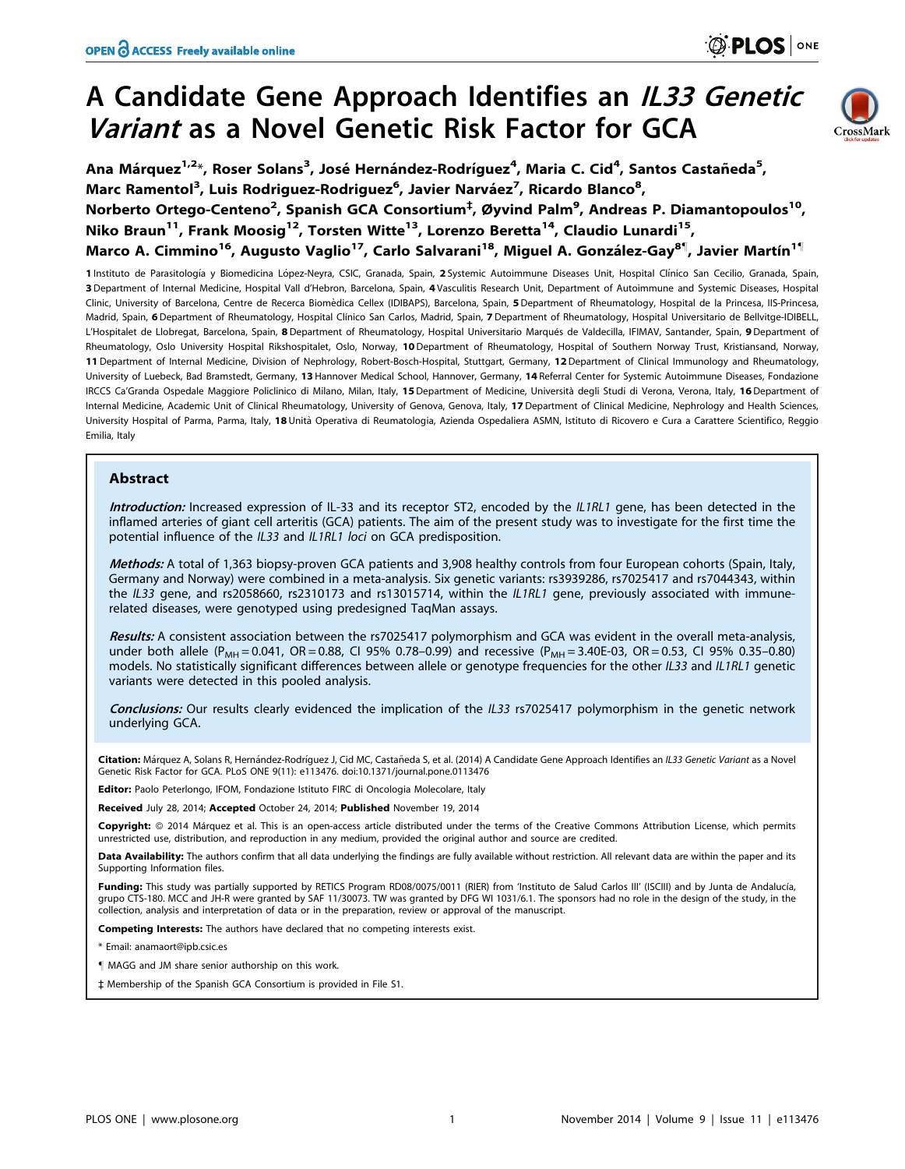# A Candidate Gene Approach Identifies an IL33 Genetic Variant as a Novel Genetic Risk Factor for GCA



**PLOS** ONE

Ana Márquez<sup>1,2</sup>\*, Roser Solans<sup>3</sup>, José Hernández-Rodríguez<sup>4</sup>, Maria C. Cid<sup>4</sup>, Santos Castañeda<sup>5</sup>, Marc Ramentol<sup>3</sup>, Luis Rodriguez-Rodriguez<sup>6</sup>, Javier Narváez<sup>7</sup>, Ricardo Blanco<sup>8</sup>, Norberto Ortego-Centeno<sup>2</sup>, Spanish GCA Consortium<sup>‡</sup>, Øyvind Palm<sup>9</sup>, Andreas P. Diamantopoulos<sup>10</sup>, Niko Braun<sup>11</sup>, Frank Moosig<sup>12</sup>, Torsten Witte<sup>13</sup>, Lorenzo Beretta<sup>14</sup>, Claudio Lunardi<sup>15</sup>, Marco A. Cimmino<sup>16</sup>, Augusto Vaglio<sup>17</sup>, Carlo Salvarani<sup>18</sup>, Miguel A. González-Gay<sup>8¶</sup>, Javier Martín<sup>1¶</sup>

1 Instituto de Parasitología y Biomedicina López-Neyra, CSIC, Granada, Spain, 2 Systemic Autoimmune Diseases Unit, Hospital Clínico San Cecilio, Granada, Spain, 3 Department of Internal Medicine, Hospital Vall d'Hebron, Barcelona, Spain, 4 Vasculitis Research Unit, Department of Autoimmune and Systemic Diseases, Hospital Clinic, University of Barcelona, Centre de Recerca Biomèdica Cellex (IDIBAPS), Barcelona, Spain, 5 Department of Rheumatology, Hospital de la Princesa, IIS-Princesa, Madrid, Spain, 6 Department of Rheumatology, Hospital Clínico San Carlos, Madrid, Spain, 7 Department of Rheumatology, Hospital Universitario de Bellvitge-IDIBELL, L'Hospitalet de Llobregat, Barcelona, Spain, 8 Department of Rheumatology, Hospital Universitario Marqués de Valdecilla, IFIMAV, Santander, Spain, 9 Department of Rheumatology, Oslo University Hospital Rikshospitalet, Oslo, Norway, 10 Department of Rheumatology, Hospital of Southern Norway Trust, Kristiansand, Norway, 11 Department of Internal Medicine, Division of Nephrology, Robert-Bosch-Hospital, Stuttgart, Germany, 12 Department of Clinical Immunology and Rheumatology, University of Luebeck, Bad Bramstedt, Germany, 13 Hannover Medical School, Hannover, Germany, 14 Referral Center for Systemic Autoimmune Diseases, Fondazione IRCCS Ca'Granda Ospedale Maggiore Policlinico di Milano, Milan, Italy, 15 Department of Medicine, Università degli Studi di Verona, Verona, Italy, 16 Department of Internal Medicine, Academic Unit of Clinical Rheumatology, University of Genova, Genova, Italy, 17 Department of Clinical Medicine, Nephrology and Health Sciences, University Hospital of Parma, Parma, Italy, 18 Unità Operativa di Reumatologia, Azienda Ospedaliera ASMN, Istituto di Ricovero e Cura a Carattere Scientifico, Reggio Emilia, Italy

## Abstract

Introduction: Increased expression of IL-33 and its receptor ST2, encoded by the IL1RL1 gene, has been detected in the inflamed arteries of giant cell arteritis (GCA) patients. The aim of the present study was to investigate for the first time the potential influence of the IL33 and IL1RL1 loci on GCA predisposition.

Methods: A total of 1,363 biopsy-proven GCA patients and 3,908 healthy controls from four European cohorts (Spain, Italy, Germany and Norway) were combined in a meta-analysis. Six genetic variants: rs3939286, rs7025417 and rs7044343, within the IL33 gene, and rs2058660, rs2310173 and rs13015714, within the IL1RL1 gene, previously associated with immunerelated diseases, were genotyped using predesigned TaqMan assays.

Results: A consistent association between the rs7025417 polymorphism and GCA was evident in the overall meta-analysis, under both allele (P<sub>MH</sub> = 0.041, OR = 0.88, CI 95% 0.78-0.99) and recessive (P<sub>MH</sub> = 3.40E-03, OR = 0.53, CI 95% 0.35-0.80) models. No statistically significant differences between allele or genotype frequencies for the other IL33 and IL1RL1 genetic variants were detected in this pooled analysis.

Conclusions: Our results clearly evidenced the implication of the IL33 rs7025417 polymorphism in the genetic network underlying GCA.

Citation: Márquez A, Solans R, Hernández-Rodríguez J, Cid MC, Castañeda S, et al. (2014) A Candidate Gene Approach Identifies an IL33 Genetic Variant as a Novel Genetic Risk Factor for GCA. PLoS ONE 9(11): e113476. doi:10.1371/journal.pone.0113476

Editor: Paolo Peterlongo, IFOM, Fondazione Istituto FIRC di Oncologia Molecolare, Italy

Received July 28, 2014; Accepted October 24, 2014; Published November 19, 2014

Copyright: © 2014 Márquez et al. This is an open-access article distributed under the terms of the [Creative Commons Attribution License,](http://creativecommons.org/licenses/by/4.0/) which permits unrestricted use, distribution, and reproduction in any medium, provided the original author and source are credited.

Data Availability: The authors confirm that all data underlying the findings are fully available without restriction. All relevant data are within the paper and its Supporting Information files.

Funding: This study was partially supported by RETICS Program RD08/0075/0011 (RIER) from 'Instituto de Salud Carlos III' (ISCIII) and by Junta de Andalucía, grupo CTS-180. MCC and JH-R were granted by SAF 11/30073. TW was granted by DFG WI 1031/6.1. The sponsors had no role in the design of the study, in the collection, analysis and interpretation of data or in the preparation, review or approval of the manuscript.

Competing Interests: The authors have declared that no competing interests exist.

\* Email: anamaort@ipb.csic.es

- " MAGG and JM share senior authorship on this work.
- ` Membership of the Spanish GCA Consortium is provided in File S1.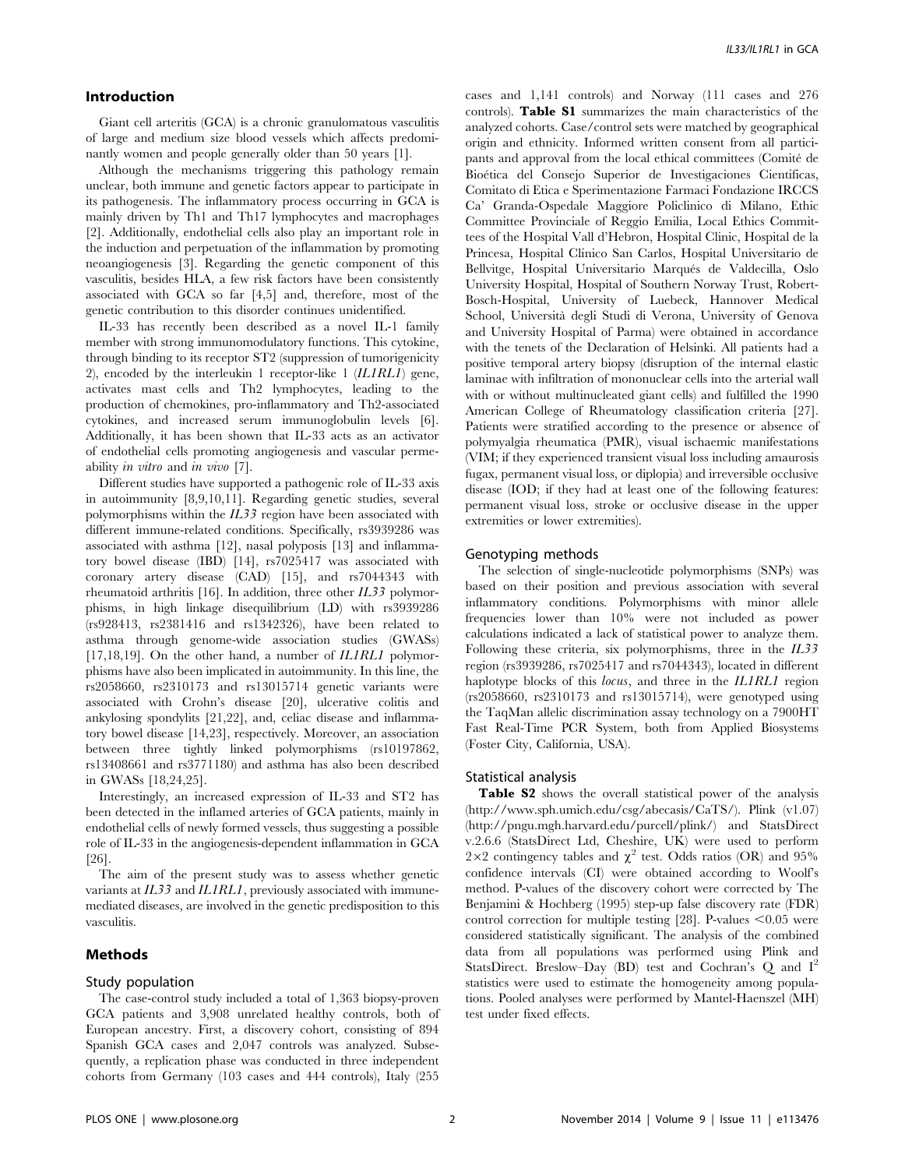## Introduction

Giant cell arteritis (GCA) is a chronic granulomatous vasculitis of large and medium size blood vessels which affects predominantly women and people generally older than 50 years [1].

Although the mechanisms triggering this pathology remain unclear, both immune and genetic factors appear to participate in its pathogenesis. The inflammatory process occurring in GCA is mainly driven by Th1 and Th17 lymphocytes and macrophages [2]. Additionally, endothelial cells also play an important role in the induction and perpetuation of the inflammation by promoting neoangiogenesis [3]. Regarding the genetic component of this vasculitis, besides HLA, a few risk factors have been consistently associated with GCA so far [4,5] and, therefore, most of the genetic contribution to this disorder continues unidentified.

IL-33 has recently been described as a novel IL-1 family member with strong immunomodulatory functions. This cytokine, through binding to its receptor ST2 (suppression of tumorigenicity 2), encoded by the interleukin 1 receptor-like 1 (IL1RL1) gene, activates mast cells and Th2 lymphocytes, leading to the production of chemokines, pro-inflammatory and Th2-associated cytokines, and increased serum immunoglobulin levels [6]. Additionally, it has been shown that IL-33 acts as an activator of endothelial cells promoting angiogenesis and vascular permeability in vitro and in vivo [7].

Different studies have supported a pathogenic role of IL-33 axis in autoimmunity [8,9,10,11]. Regarding genetic studies, several polymorphisms within the IL33 region have been associated with different immune-related conditions. Specifically, rs3939286 was associated with asthma [12], nasal polyposis [13] and inflammatory bowel disease (IBD) [14], rs7025417 was associated with coronary artery disease (CAD) [15], and rs7044343 with rheumatoid arthritis [16]. In addition, three other IL33 polymorphisms, in high linkage disequilibrium (LD) with rs3939286 (rs928413, rs2381416 and rs1342326), have been related to asthma through genome-wide association studies (GWASs) [17,18,19]. On the other hand, a number of *IL1RL1* polymorphisms have also been implicated in autoimmunity. In this line, the rs2058660, rs2310173 and rs13015714 genetic variants were associated with Crohn's disease [20], ulcerative colitis and ankylosing spondylits [21,22], and, celiac disease and inflammatory bowel disease [14,23], respectively. Moreover, an association between three tightly linked polymorphisms (rs10197862, rs13408661 and rs3771180) and asthma has also been described in GWASs [18,24,25].

Interestingly, an increased expression of IL-33 and ST2 has been detected in the inflamed arteries of GCA patients, mainly in endothelial cells of newly formed vessels, thus suggesting a possible role of IL-33 in the angiogenesis-dependent inflammation in GCA [26].

The aim of the present study was to assess whether genetic variants at IL33 and IL1RL1, previously associated with immunemediated diseases, are involved in the genetic predisposition to this vasculitis.

## Methods

## Study population

The case-control study included a total of 1,363 biopsy-proven GCA patients and 3,908 unrelated healthy controls, both of European ancestry. First, a discovery cohort, consisting of 894 Spanish GCA cases and 2,047 controls was analyzed. Subsequently, a replication phase was conducted in three independent cohorts from Germany (103 cases and 444 controls), Italy (255

cases and 1,141 controls) and Norway (111 cases and 276 controls). Table S1 summarizes the main characteristics of the analyzed cohorts. Case/control sets were matched by geographical origin and ethnicity. Informed written consent from all participants and approval from the local ethical committees (Comité de Bioética del Consejo Superior de Investigaciones Científicas, Comitato di Etica e Sperimentazione Farmaci Fondazione IRCCS Ca' Granda-Ospedale Maggiore Policlinico di Milano, Ethic Committee Provinciale of Reggio Emilia, Local Ethics Committees of the Hospital Vall d'Hebron, Hospital Clinic, Hospital de la Princesa, Hospital Clínico San Carlos, Hospital Universitario de Bellvitge, Hospital Universitario Marqués de Valdecilla, Oslo University Hospital, Hospital of Southern Norway Trust, Robert-Bosch-Hospital, University of Luebeck, Hannover Medical School, Universita` degli Studi di Verona, University of Genova and University Hospital of Parma) were obtained in accordance with the tenets of the Declaration of Helsinki. All patients had a positive temporal artery biopsy (disruption of the internal elastic laminae with infiltration of mononuclear cells into the arterial wall with or without multinucleated giant cells) and fulfilled the 1990 American College of Rheumatology classification criteria [27]. Patients were stratified according to the presence or absence of polymyalgia rheumatica (PMR), visual ischaemic manifestations (VIM; if they experienced transient visual loss including amaurosis fugax, permanent visual loss, or diplopia) and irreversible occlusive disease (IOD; if they had at least one of the following features: permanent visual loss, stroke or occlusive disease in the upper extremities or lower extremities).

## Genotyping methods

The selection of single-nucleotide polymorphisms (SNPs) was based on their position and previous association with several inflammatory conditions. Polymorphisms with minor allele frequencies lower than 10% were not included as power calculations indicated a lack of statistical power to analyze them. Following these criteria, six polymorphisms, three in the  $IL33$ region (rs3939286, rs7025417 and rs7044343), located in different haplotype blocks of this *locus*, and three in the *IL1RL1* region (rs2058660, rs2310173 and rs13015714), were genotyped using the TaqMan allelic discrimination assay technology on a 7900HT Fast Real-Time PCR System, both from Applied Biosystems (Foster City, California, USA).

#### Statistical analysis

Table S2 shows the overall statistical power of the analysis [\(http://www.sph.umich.edu/csg/abecasis/CaTS/](http://www.sph.umich.edu/csg/abecasis/CaTS/)). Plink (v1.07) [\(http://pngu.mgh.harvard.edu/purcell/plink/\)](http://pngu.mgh.harvard.edu/purcell/plink/) and StatsDirect v.2.6.6 (StatsDirect Ltd, Cheshire, UK) were used to perform  $2\times2$  contingency tables and  $\chi^2$  test. Odds ratios (OR) and 95% confidence intervals (CI) were obtained according to Woolf's method. P-values of the discovery cohort were corrected by The Benjamini & Hochberg (1995) step-up false discovery rate (FDR) control correction for multiple testing [28]. P-values  $< 0.05$  were considered statistically significant. The analysis of the combined data from all populations was performed using Plink and StatsDirect. Breslow–Day (BD) test and Cochran's  $Q$  and  $I^2$ statistics were used to estimate the homogeneity among populations. Pooled analyses were performed by Mantel-Haenszel (MH) test under fixed effects.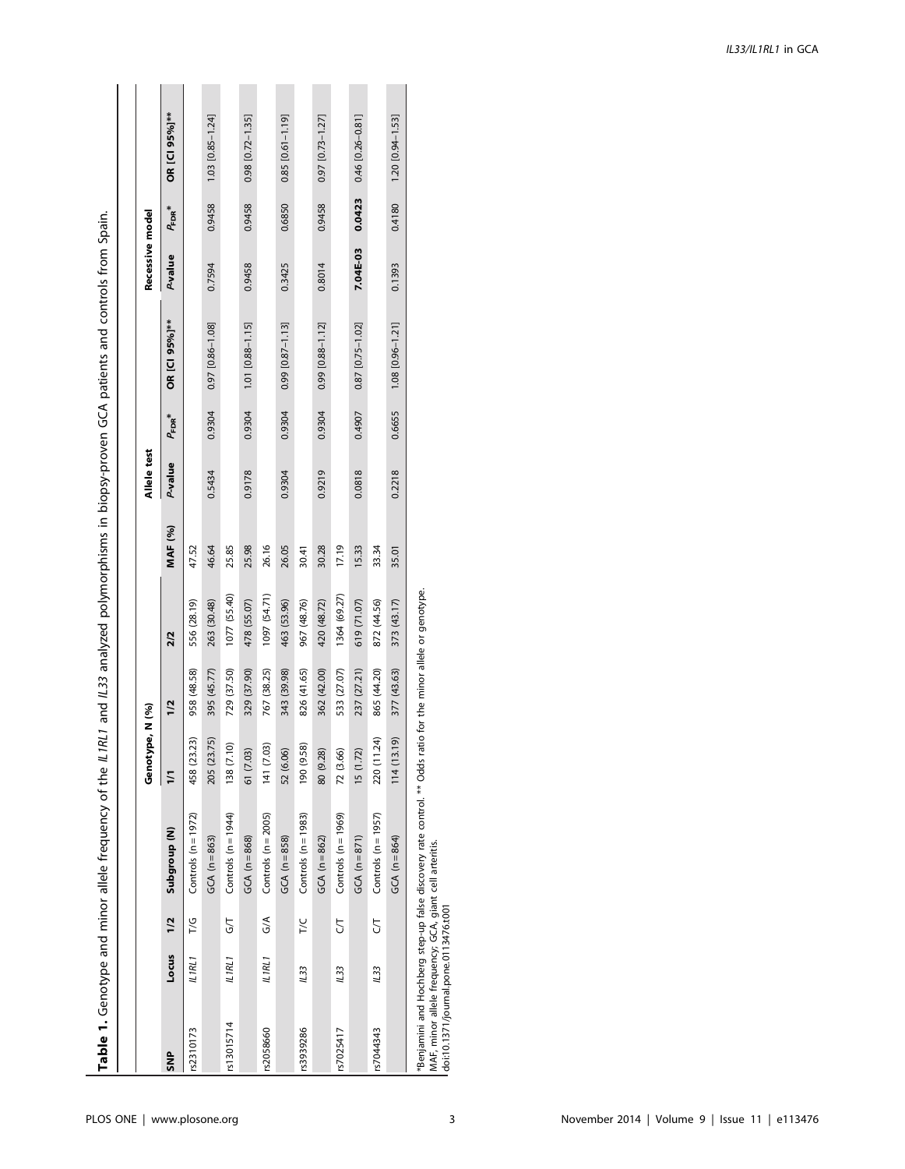|            |             |               |                                                                                                                                                                                                                               | Genotype, N (%) |                                      |              |         | Allele test |                    |                          | Recessive model |             |                        |
|------------|-------------|---------------|-------------------------------------------------------------------------------------------------------------------------------------------------------------------------------------------------------------------------------|-----------------|--------------------------------------|--------------|---------|-------------|--------------------|--------------------------|-----------------|-------------|------------------------|
| <b>SNP</b> | Locus       | 1/2           | Subgroup (N)                                                                                                                                                                                                                  | $\overline{11}$ | 1/2                                  | 2/2          | MAF (%) | P-value     | $P_{\text{FDR}}^*$ | OR [CI 95%]**            | P-value         | $P_{FDR}^*$ | OR [CI 95%]**          |
| rs2310173  | ILIRLI      | 7/G           | Controls $(n = 1972)$                                                                                                                                                                                                         | 458 (23.23)     | 958 (48.58)                          | 556 (28.19)  | 47.52   |             |                    |                          |                 |             |                        |
|            |             |               | $GCA (n = 863)$                                                                                                                                                                                                               | 205 (23.75)     | 395 (45.77)                          | 263 (30.48)  | 46.64   | 0.5434      | 0.9304             | 0.97 [0.86-1.08]         | 0.7594          | 0.9458      | $1.03$ [0.85-1.24]     |
| rs13015714 | ILIRLI      | 5             | Controls $(n = 1944)$                                                                                                                                                                                                         | 138 (7.10)      | 729 (37.50)                          | 1077 (55.40) | 25.85   |             |                    |                          |                 |             |                        |
|            |             |               | $GCA (n = 868)$                                                                                                                                                                                                               | 61 (7.03)       | 329 (37.90)                          | 478 (55.07)  | 25.98   | 0.9178      | 0.9304             | $1.01$ [0.88-1.15]       | 0.9458          | 0.9458      | $0.98$ [0.72-1.35]     |
| rs2058660  | ILIRL1      | $\frac{1}{2}$ | Controls $(n = 2005)$                                                                                                                                                                                                         | 141 (7.03)      | 767 (38.25)                          | 1097 (54.71) | 26.16   |             |                    |                          |                 |             |                        |
|            |             |               | $GCA (n = 858)$                                                                                                                                                                                                               | 52 (6.06)       | 343 (39.98)                          | 463 (53.96)  | 26.05   | 0.9304      | 0.9304             | $0.99$ [ $0.87 - 1.13$ ] | 0.3425          | 0.6850      | $0.85$ [0.61-1.19]     |
| rs3939286  | <b>IL33</b> | 7/C           | Controls $(n = 1983)$                                                                                                                                                                                                         | 190 (9.58)      | 826 (41.65)                          | 967 (48.76)  | 30.41   |             |                    |                          |                 |             |                        |
|            |             |               | $GCA (n = 862)$                                                                                                                                                                                                               | 80 (9.28)       | 362 (42.00)                          | 420 (48.72)  | 30.28   | 0.9219      | 0.9304             | 0.99 [0.88-1.12]         | 0.8014          | 0.9458      | $0.97$ $[0.73 - 1.27]$ |
| rs7025417  | 1133        | 5             | Controls $(n = 1969)$                                                                                                                                                                                                         | 72 (3.66)       | 533 (27.07)                          | 1364 (69.27) | 17.19   |             |                    |                          |                 |             |                        |
|            |             |               | $GCA (n = 871)$                                                                                                                                                                                                               | 15 (1.72)       | 237 (27.21)                          | 619 (71.07)  | 15.33   | 0.0818      | 0.4907             | $0.87$ [ $0.75 - 1.02$ ] | 7.04E-03        | 0.0423      | 0.46 [0.26-0.81]       |
| rs7044343  | 123         | 5             | Controls $(n = 1957)$                                                                                                                                                                                                         | 220 (11.24)     | 865 (44.20)                          | 872 (44.56)  | 33.34   |             |                    |                          |                 |             |                        |
|            |             |               | $GCA (n = 864)$                                                                                                                                                                                                               | 114(13.19)      | 377 (43.63)                          | 373 (43.17)  | 35.01   | 0.2218      | 0.6655             | $1.08$ [0.96-1.21]       | 0.1393          | 0.4180      | 1.20 [0.94-1.53]       |
|            |             |               | it, it is in the light offs is concluded to the second direct of the second off the second direct contract of the second direct of the second direct contracts of the second direct of the second direct of the second direct |                 | a for the miner allale or generation |              |         |             |                    |                          |                 |             |                        |

allele or genotype. \*Benjamini and Hochberg step-up false discovery rate control. \*\* Odds ratio for the minor allele or genotype. the minor  $\frac{1}{2}$ ratio 1 Odds i \*Benjamini and Hochberg step-up false discovery rate control. \*<br>MAF, minor allele frequency; GCA, giant cell arteritis.<br>doi:10.1371/journal.pone.0113476.t001 MAF, minor allele frequency; GCA, giant cell arteritis.

doi:10.1371/journal.pone.0113476.t001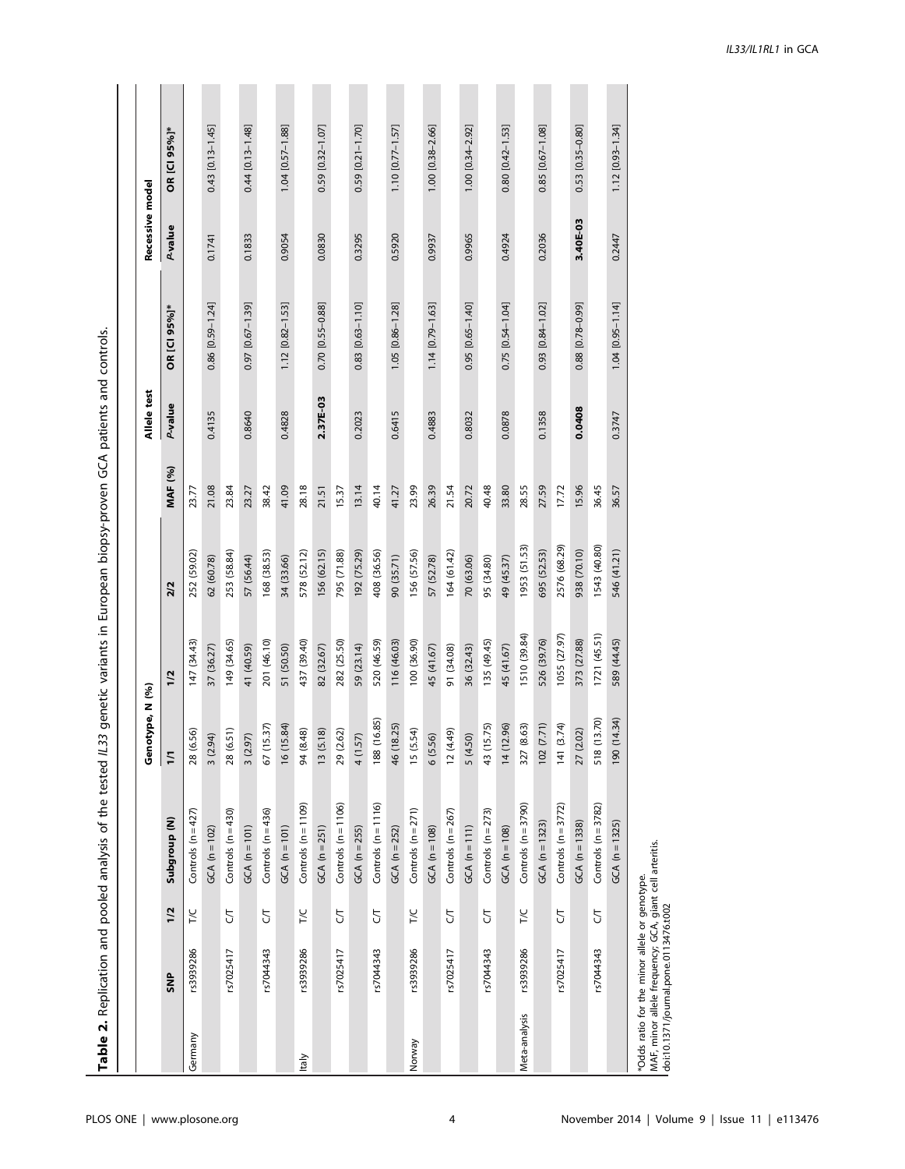| Ò<br>l                                                                                                                       |
|------------------------------------------------------------------------------------------------------------------------------|
|                                                                                                                              |
|                                                                                                                              |
| j<br>Ï                                                                                                                       |
|                                                                                                                              |
| Ş                                                                                                                            |
| $^{\sf i}$<br>and the state of the state of the state of the state of the state of the state of the state of the state of th |
| ï<br>j                                                                                                                       |
| ì                                                                                                                            |
|                                                                                                                              |
| ֦                                                                                                                            |
| 5                                                                                                                            |
| l<br>ı                                                                                                                       |
|                                                                                                                              |
| í                                                                                                                            |
|                                                                                                                              |
| ;<br>;<br>ļ<br>ì                                                                                                             |
| ì                                                                                                                            |
| ׇ֚֘֝                                                                                                                         |
|                                                                                                                              |
|                                                                                                                              |
|                                                                                                                              |
|                                                                                                                              |
| į                                                                                                                            |
|                                                                                                                              |
|                                                                                                                              |
| j                                                                                                                            |
|                                                                                                                              |
|                                                                                                                              |
| אסופ בי עני<br>י<br>בוב                                                                                                      |
| $\overline{1}$                                                                                                               |
| I                                                                                                                            |

|               |                                                                                                                                                   |                |                         | Genotype, N (%)           |              |              |         | Allele test    |                        | Recessive mode |                        |
|---------------|---------------------------------------------------------------------------------------------------------------------------------------------------|----------------|-------------------------|---------------------------|--------------|--------------|---------|----------------|------------------------|----------------|------------------------|
|               | <b>SNP</b>                                                                                                                                        | 1/2            | Subgroup <sub>(N)</sub> | $\overline{11}$           | 1/2          | 2/2          | MAF (%) | <b>P-value</b> | OR [CI 95%]*           | P-value        | OR [CI 95%]*           |
| Germany       | rs3939286                                                                                                                                         | T/C            | Controls $(n=427)$      | .56)<br>28 (6.            | 147 (34.43)  | 252 (59.02)  | 23.77   |                |                        |                |                        |
|               |                                                                                                                                                   |                | GCA ( $n = 102$ )       | 3(2.94)                   | 37 (36.27)   | 62 (60.78)   | 21.08   | 0.4135         | $0.86$ [0.59-1.24]     | 0.1741         | $0.43$ [0.13-1.45]     |
|               | rs7025417                                                                                                                                         | 5              | Controls $(n=430)$      | 28 (6.51)                 | 149 (34.65)  | 253 (58.84)  | 23.84   |                |                        |                |                        |
|               |                                                                                                                                                   |                | $GCA (n = 101)$         | 3(2.97)                   | 41 (40.59)   | 57 (56.44)   | 23.27   | 0.8640         | 0.97 [0.67-1.39]       | 0.1833         | 0.44 [0.13-1.48]       |
|               | rs7044343                                                                                                                                         | 5              | Controls $(n=436)$      | 67 (15.37)                | 201 (46.10)  | 168 (38.53)  | 38.42   |                |                        |                |                        |
|               |                                                                                                                                                   |                | $GCA (n = 101)$         | 16 (15.84)                | 51 (50.50)   | 34 (33.66)   | 41.09   | 0.4828         | 1.12 [0.82-1.53]       | 0.9054         | 1.04 [0.57-1.88]       |
| taly          | rs3939286                                                                                                                                         | <b>T/C</b>     | Controls $(n = 1109)$   | 94 (8.48)                 | 437 (39.40)  | 578 (52.12)  | 28.18   |                |                        |                |                        |
|               |                                                                                                                                                   |                | $GCA (n = 251)$         | 13(5.18)                  | 82 (32.67)   | 156 (62.15)  | 21.51   | 2.37E-03       | 0.70 [0.55-0.88]       | 0.0830         | $0.59$ [0.32-1.07]     |
|               | rs7025417                                                                                                                                         | 5              | Controls $(n = 1106)$   | 29 (2.62)                 | 282 (25.50)  | 795 (71.88)  | 15.37   |                |                        |                |                        |
|               |                                                                                                                                                   |                | $GCA (n = 255)$         | 4 (1.57)                  | 59 (23.14)   | 192 (75.29)  | 13.14   | 0.2023         | $0.83$ [0.63-1.10]     | 0.3295         | 0.59 [0.21-1.70]       |
|               | rs7044343                                                                                                                                         | $\overline{C}$ | Controls $(n = 1116)$   | 188 (16.85)               | 520 (46.59)  | 408 (36.56)  | 40.14   |                |                        |                |                        |
|               |                                                                                                                                                   |                | $GCA (n = 252)$         | 46 (18.25)                | 116 (46.03)  | 90 (35.71)   | 41.27   | 0.6415         | 1.05 [0.86-1.28]       | 0.5920         | $1.10$ [0.77-1.57]     |
| Norway        | rs3939286                                                                                                                                         | <b>T/C</b>     | Controls $(n=271)$      | 15 (5.54)                 | 100 (36.90)  | 156 (57.56)  | 23.99   |                |                        |                |                        |
|               |                                                                                                                                                   |                | $GCA (n = 108)$         | 6(5.56)                   | 45 (41.67)   | 57 (52.78)   | 26.39   | 0.4883         | 1.14 [0.79-1.63]       | 0.9937         | $1.00$ [0.38-2.66]     |
|               | rs7025417                                                                                                                                         | 5              | Controls $(n = 267)$    | $(64.4)$ (1               | 91 (34.08)   | 164 (61.42)  | 21.54   |                |                        |                |                        |
|               |                                                                                                                                                   |                | GCA $(n = 111)$         | 5 (4.50)                  | 36 (32.43)   | 70 (63.06)   | 20.72   | 0.8032         | $0.95$ $[0.65 - 1.40]$ | 0.9965         | $1.00$ [0.34-2.92]     |
|               | rs7044343                                                                                                                                         | 5              | Controls $(n=273)$      | 43 (15.75)                | 135 (49.45)  | 95 (34.80)   | 40.48   |                |                        |                |                        |
|               |                                                                                                                                                   |                | GCA $(n = 108)$         | 14 (12.96)                | 45 (41.67)   | 49 (45.37)   | 33.80   | 0.0878         | $0.75$ [0.54-1.04]     | 0.4924         | $0.80$ $[0.42 - 1.53]$ |
| Meta-analysis | rs3939286                                                                                                                                         | T/C            | Controls $(n = 3790)$   | (8.63)<br>327 (           | 1510 (39.84) | 1953 (51.53) | 28.55   |                |                        |                |                        |
|               |                                                                                                                                                   |                | GCA $(n = 1323)$        | 102 (7.71)                | 526 (39.76)  | 695 (52.53)  | 27.59   | 0.1358         | $0.93$ $[0.84 - 1.02]$ | 0.2036         | $0.85$ [0.67-1.08]     |
|               | rs7025417                                                                                                                                         | 5              | Controls $(n=3772)$     | (3.74)<br>$\frac{141}{5}$ | 1055 (27.97) | 2576 (68.29) | 17.72   |                |                        |                |                        |
|               |                                                                                                                                                   |                | $GCA (n = 1338)$        | 27 (2.02)                 | 373 (27.88)  | 938 (70.10)  | 15.96   | 0.0408         | 0.88 [0.78-0.99]       | 3.40E-03       | $0.53$ [0.35-0.80]     |
|               | rs7044343                                                                                                                                         | 5              | Controls $(n = 3782)$   | 518 (13.70)               | 1721 (45.51) | 1543 (40.80) | 36.45   |                |                        |                |                        |
|               |                                                                                                                                                   |                | GCA $(n = 1325)$        | 190 (14.34)               | 589 (44.45)  | 546 (41.21)  | 36.57   | 0.3747         | $1.04$ [0.95-1.14]     | 0.2447         | 1.12 [0.93-1.34]       |
|               | MAF, minor allele frequency; GCA, giant cell arteritis.<br>*Odds ratio for the minor allele or genotype.<br>doi:10.1371/journal.pone.0113476.t002 |                |                         |                           |              |              |         |                |                        |                |                        |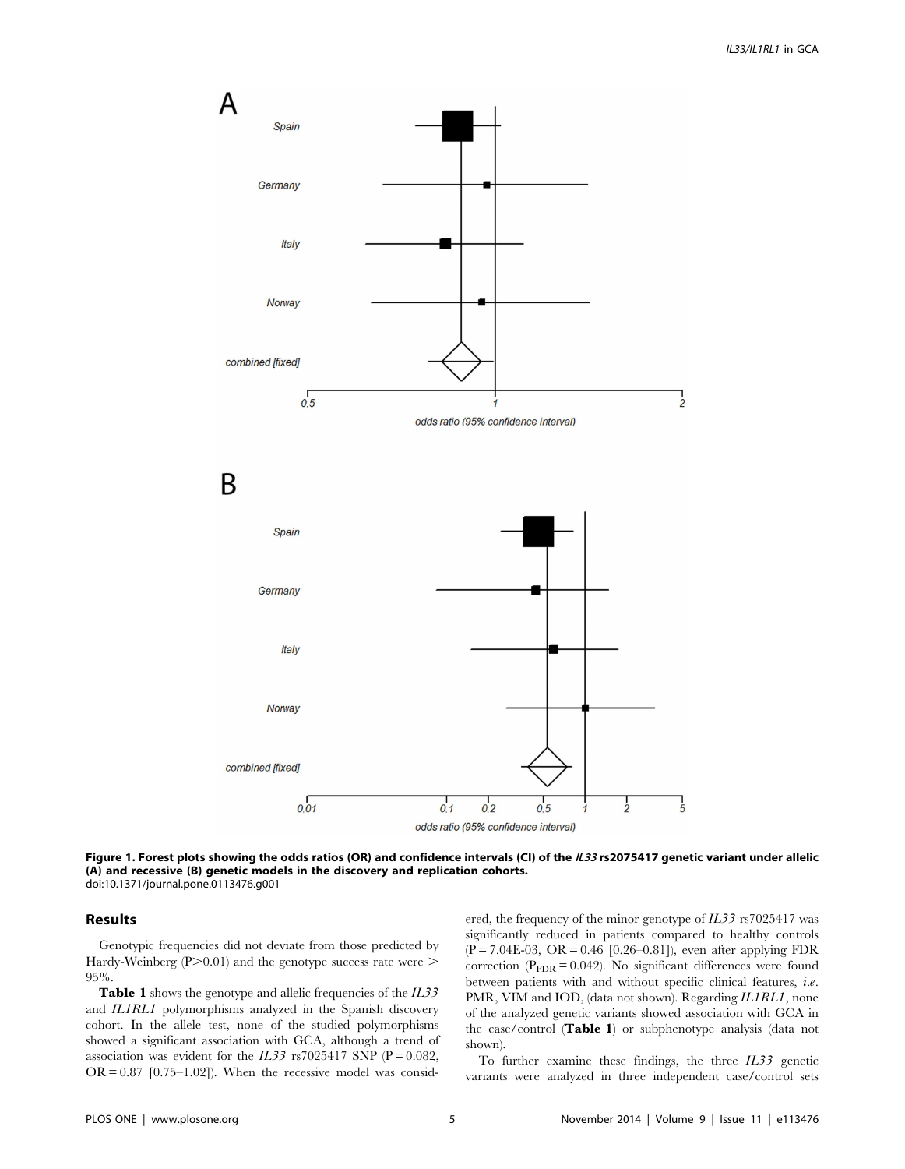

Figure 1. Forest plots showing the odds ratios (OR) and confidence intervals (CI) of the IL33 rs2075417 genetic variant under allelic (A) and recessive (B) genetic models in the discovery and replication cohorts. doi:10.1371/journal.pone.0113476.g001

#### Results

Genotypic frequencies did not deviate from those predicted by Hardy-Weinberg  $(P>0.01)$  and the genotype success rate were  $\geq$ 95%.

Table 1 shows the genotype and allelic frequencies of the IL33 and IL1RL1 polymorphisms analyzed in the Spanish discovery cohort. In the allele test, none of the studied polymorphisms showed a significant association with GCA, although a trend of association was evident for the  $IL33$  rs7025417 SNP (P = 0.082,  $OR = 0.87$  [0.75–1.02]). When the recessive model was considered, the frequency of the minor genotype of IL33 rs7025417 was significantly reduced in patients compared to healthy controls  $(P = 7.04E-03, OR = 0.46 [0.26-0.81])$ , even after applying FDR correction ( $P_{\text{FDR}} = 0.042$ ). No significant differences were found between patients with and without specific clinical features, i.e. PMR, VIM and IOD, (data not shown). Regarding IL1RL1, none of the analyzed genetic variants showed association with GCA in the case/control (Table 1) or subphenotype analysis (data not shown).

To further examine these findings, the three IL33 genetic variants were analyzed in three independent case/control sets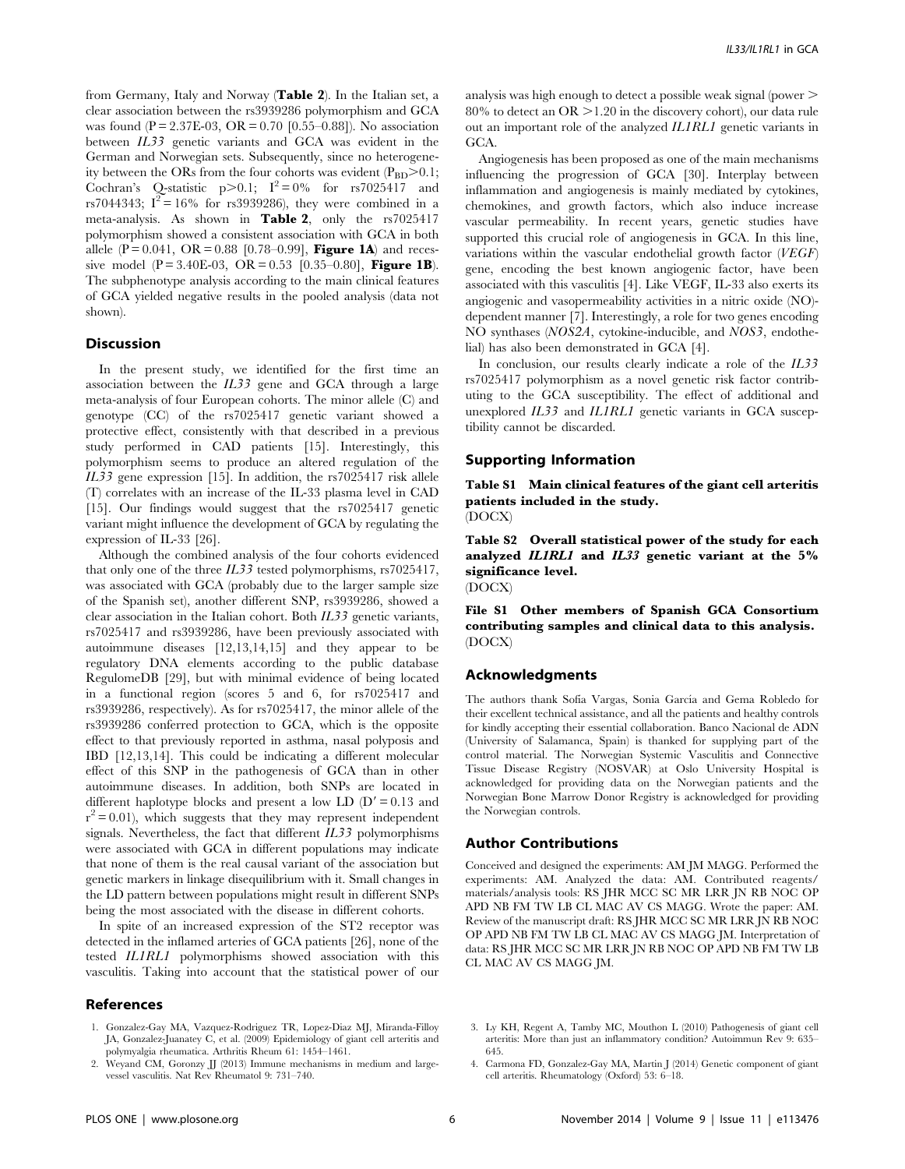from Germany, Italy and Norway (Table 2). In the Italian set, a clear association between the rs3939286 polymorphism and GCA was found (P = 2.37E-03, OR = 0.70 [0.55–0.88]). No association between IL33 genetic variants and GCA was evident in the German and Norwegian sets. Subsequently, since no heterogeneity between the ORs from the four cohorts was evident  $(P_{BD} > 0.1;$ Cochran's Q-statistic  $p>0.1$ ;  $I^2=0%$  for rs7025417 and rs7044343;  $I^2 = 16\%$  for rs3939286), they were combined in a meta-analysis. As shown in Table 2, only the rs7025417 polymorphism showed a consistent association with GCA in both allele (P = 0.041, OR = 0.88 [0.78–0.99], **Figure 1A**) and recessive model (P = 3.40E-03, OR = 0.53 [0.35–0.80], Figure 1B). The subphenotype analysis according to the main clinical features of GCA yielded negative results in the pooled analysis (data not shown).

## Discussion

In the present study, we identified for the first time an association between the IL33 gene and GCA through a large meta-analysis of four European cohorts. The minor allele (C) and genotype (CC) of the rs7025417 genetic variant showed a protective effect, consistently with that described in a previous study performed in CAD patients [15]. Interestingly, this polymorphism seems to produce an altered regulation of the IL33 gene expression [15]. In addition, the rs7025417 risk allele (T) correlates with an increase of the IL-33 plasma level in CAD [15]. Our findings would suggest that the rs7025417 genetic variant might influence the development of GCA by regulating the expression of IL-33 [26].

Although the combined analysis of the four cohorts evidenced that only one of the three IL33 tested polymorphisms, rs7025417, was associated with GCA (probably due to the larger sample size of the Spanish set), another different SNP, rs3939286, showed a clear association in the Italian cohort. Both  $IL33$  genetic variants, rs7025417 and rs3939286, have been previously associated with autoimmune diseases [12,13,14,15] and they appear to be regulatory DNA elements according to the public database RegulomeDB [29], but with minimal evidence of being located in a functional region (scores 5 and 6, for rs7025417 and rs3939286, respectively). As for rs7025417, the minor allele of the rs3939286 conferred protection to GCA, which is the opposite effect to that previously reported in asthma, nasal polyposis and IBD [12,13,14]. This could be indicating a different molecular effect of this SNP in the pathogenesis of GCA than in other autoimmune diseases. In addition, both SNPs are located in different haplotype blocks and present a low LD  $(D' = 0.13$  and  $r^2$  = 0.01), which suggests that they may represent independent signals. Nevertheless, the fact that different  $IL33$  polymorphisms were associated with GCA in different populations may indicate that none of them is the real causal variant of the association but genetic markers in linkage disequilibrium with it. Small changes in the LD pattern between populations might result in different SNPs being the most associated with the disease in different cohorts.

In spite of an increased expression of the ST2 receptor was detected in the inflamed arteries of GCA patients [26], none of the tested IL1RL1 polymorphisms showed association with this vasculitis. Taking into account that the statistical power of our

#### References

- 1. Gonzalez-Gay MA, Vazquez-Rodriguez TR, Lopez-Diaz MJ, Miranda-Filloy JA, Gonzalez-Juanatey C, et al. (2009) Epidemiology of giant cell arteritis and polymyalgia rheumatica. Arthritis Rheum 61: 1454–1461.
- 2. Weyand CM, Goronzy JJ (2013) Immune mechanisms in medium and largevessel vasculitis. Nat Rev Rheumatol 9: 731–740.

analysis was high enough to detect a possible weak signal (power . 80% to detect an  $OR > 1.20$  in the discovery cohort), our data rule out an important role of the analyzed IL1RL1 genetic variants in GCA.

Angiogenesis has been proposed as one of the main mechanisms influencing the progression of GCA [30]. Interplay between inflammation and angiogenesis is mainly mediated by cytokines, chemokines, and growth factors, which also induce increase vascular permeability. In recent years, genetic studies have supported this crucial role of angiogenesis in GCA. In this line, variations within the vascular endothelial growth factor  $(VEGF)$ gene, encoding the best known angiogenic factor, have been associated with this vasculitis [4]. Like VEGF, IL-33 also exerts its angiogenic and vasopermeability activities in a nitric oxide (NO) dependent manner [7]. Interestingly, a role for two genes encoding NO synthases (NOS2A, cytokine-inducible, and NOS3, endothelial) has also been demonstrated in GCA [4].

In conclusion, our results clearly indicate a role of the IL33 rs7025417 polymorphism as a novel genetic risk factor contributing to the GCA susceptibility. The effect of additional and unexplored IL33 and IL1RL1 genetic variants in GCA susceptibility cannot be discarded.

## Supporting Information

Table S1 Main clinical features of the giant cell arteritis patients included in the study. (DOCX)

Table S2 Overall statistical power of the study for each analyzed IL1RL1 and IL33 genetic variant at the 5% significance level.

(DOCX)

File S1 Other members of Spanish GCA Consortium contributing samples and clinical data to this analysis. (DOCX)

## Acknowledgments

The authors thank Sofia Vargas, Sonia García and Gema Robledo for their excellent technical assistance, and all the patients and healthy controls for kindly accepting their essential collaboration. Banco Nacional de ADN (University of Salamanca, Spain) is thanked for supplying part of the control material. The Norwegian Systemic Vasculitis and Connective Tissue Disease Registry (NOSVAR) at Oslo University Hospital is acknowledged for providing data on the Norwegian patients and the Norwegian Bone Marrow Donor Registry is acknowledged for providing the Norwegian controls.

#### Author Contributions

Conceived and designed the experiments: AM JM MAGG. Performed the experiments: AM. Analyzed the data: AM. Contributed reagents/ materials/analysis tools: RS JHR MCC SC MR LRR JN RB NOC OP APD NB FM TW LB CL MAC AV CS MAGG. Wrote the paper: AM. Review of the manuscript draft: RS JHR MCC SC MR LRR JN RB NOC OP APD NB FM TW LB CL MAC AV CS MAGG JM. Interpretation of data: RS JHR MCC SC MR LRR JN RB NOC OP APD NB FM TW LB CL MAC AV CS MAGG JM.

- 3. Ly KH, Regent A, Tamby MC, Mouthon L (2010) Pathogenesis of giant cell arteritis: More than just an inflammatory condition? Autoimmun Rev 9: 635– 645.
- 4. Carmona FD, Gonzalez-Gay MA, Martin J (2014) Genetic component of giant cell arteritis. Rheumatology (Oxford) 53: 6–18.